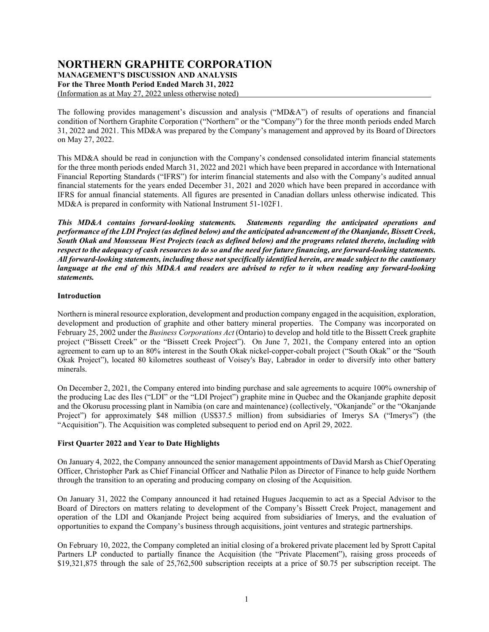# **NORTHERN GRAPHITE CORPORATION**

**MANAGEMENT'S DISCUSSION AND ANALYSIS**

**For the Three Month Period Ended March 31, 2022**

(Information as at May 27, 2022 unless otherwise noted)

The following provides management's discussion and analysis ("MD&A") of results of operations and financial condition of Northern Graphite Corporation ("Northern" or the "Company") for the three month periods ended March 31, 2022 and 2021. This MD&A was prepared by the Company's management and approved by its Board of Directors on May 27, 2022.

This MD&A should be read in conjunction with the Company's condensed consolidated interim financial statements for the three month periods ended March 31, 2022 and 2021 which have been prepared in accordance with International Financial Reporting Standards ("IFRS") for interim financial statements and also with the Company's audited annual financial statements for the years ended December 31, 2021 and 2020 which have been prepared in accordance with IFRS for annual financial statements. All figures are presented in Canadian dollars unless otherwise indicated. This MD&A is prepared in conformity with National Instrument 51-102F1.

*This MD&A contains forward-looking statements. Statements regarding the anticipated operations and performance of the LDI Project (as defined below) and the anticipated advancement of the Okanjande, Bissett Creek, South Okak and Mousseau West Projects (each as defined below) and the programs related thereto, including with respect to the adequacy of cash resources to do so and the need for future financing, are forward-looking statements. All forward-looking statements, including those not specifically identified herein, are made subject to the cautionary language at the end of this MD&A and readers are advised to refer to it when reading any forward-looking statements.*

# **Introduction**

Northern is mineral resource exploration, development and production company engaged in the acquisition, exploration, development and production of graphite and other battery mineral properties. The Company was incorporated on February 25, 2002 under the *Business Corporations Act* (Ontario) to develop and hold title to the Bissett Creek graphite project ("Bissett Creek" or the "Bissett Creek Project"). On June 7, 2021, the Company entered into an option agreement to earn up to an 80% interest in the South Okak nickel-copper-cobalt project ("South Okak" or the "South Okak Project"), located 80 kilometres southeast of Voisey's Bay, Labrador in order to diversify into other battery minerals.

On December 2, 2021, the Company entered into binding purchase and sale agreements to acquire 100% ownership of the producing Lac des Iles ("LDI" or the "LDI Project") graphite mine in Quebec and the Okanjande graphite deposit and the Okorusu processing plant in Namibia (on care and maintenance) (collectively, "Okanjande" or the "Okanjande Project") for approximately \$48 million (US\$37.5 million) from subsidiaries of Imerys SA ("Imerys") (the "Acquisition"). The Acquisition was completed subsequent to period end on April 29, 2022.

# **First Quarter 2022 and Year to Date Highlights**

On January 4, 2022, the Company announced the senior management appointments of David Marsh as Chief Operating Officer, Christopher Park as Chief Financial Officer and Nathalie Pilon as Director of Finance to help guide Northern through the transition to an operating and producing company on closing of the Acquisition.

On January 31, 2022 the Company announced it had retained Hugues Jacquemin to act as a Special Advisor to the Board of Directors on matters relating to development of the Company's Bissett Creek Project, management and operation of the LDI and Okanjande Project being acquired from subsidiaries of Imerys, and the evaluation of opportunities to expand the Company's business through acquisitions, joint ventures and strategic partnerships.

On February 10, 2022, the Company completed an initial closing of a brokered private placement led by Sprott Capital Partners LP conducted to partially finance the Acquisition (the "Private Placement"), raising gross proceeds of \$19,321,875 through the sale of 25,762,500 subscription receipts at a price of \$0.75 per subscription receipt. The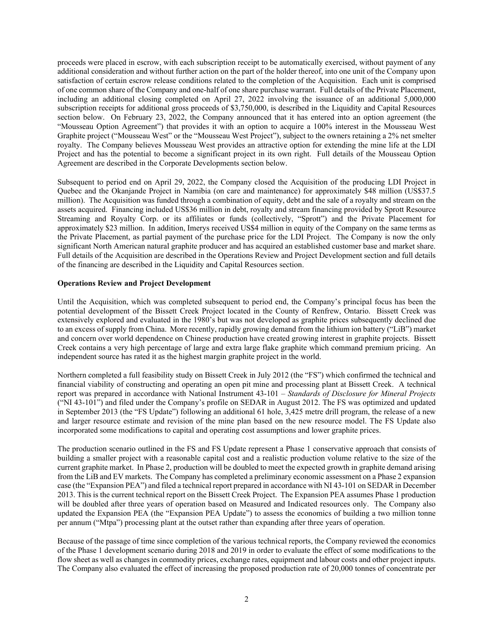proceeds were placed in escrow, with each subscription receipt to be automatically exercised, without payment of any additional consideration and without further action on the part of the holder thereof, into one unit of the Company upon satisfaction of certain escrow release conditions related to the completion of the Acquisition. Each unit is comprised of one common share of the Company and one-half of one share purchase warrant. Full details of the Private Placement, including an additional closing completed on April 27, 2022 involving the issuance of an additional 5,000,000 subscription receipts for additional gross proceeds of \$3,750,000, is described in the Liquidity and Capital Resources section below. On February 23, 2022, the Company announced that it has entered into an option agreement (the "Mousseau Option Agreement") that provides it with an option to acquire a 100% interest in the Mousseau West Graphite project ("Mousseau West" or the "Mousseau West Project"), subject to the owners retaining a 2% net smelter royalty. The Company believes Mousseau West provides an attractive option for extending the mine life at the LDI Project and has the potential to become a significant project in its own right. Full details of the Mousseau Option Agreement are described in the Corporate Developments section below.

Subsequent to period end on April 29, 2022, the Company closed the Acquisition of the producing LDI Project in Quebec and the Okanjande Project in Namibia (on care and maintenance) for approximately \$48 million (US\$37.5 million). The Acquisition was funded through a combination of equity, debt and the sale of a royalty and stream on the assets acquired. Financing included US\$36 million in debt, royalty and stream financing provided by Sprott Resource Streaming and Royalty Corp. or its affiliates or funds (collectively, "Sprott") and the Private Placement for approximately \$23 million. In addition, Imerys received US\$4 million in equity of the Company on the same terms as the Private Placement, as partial payment of the purchase price for the LDI Project. The Company is now the only significant North American natural graphite producer and has acquired an established customer base and market share. Full details of the Acquisition are described in the Operations Review and Project Development section and full details of the financing are described in the Liquidity and Capital Resources section.

# **Operations Review and Project Development**

Until the Acquisition, which was completed subsequent to period end, the Company's principal focus has been the potential development of the Bissett Creek Project located in the County of Renfrew, Ontario. Bissett Creek was extensively explored and evaluated in the 1980's but was not developed as graphite prices subsequently declined due to an excess of supply from China. More recently, rapidly growing demand from the lithium ion battery ("LiB") market and concern over world dependence on Chinese production have created growing interest in graphite projects. Bissett Creek contains a very high percentage of large and extra large flake graphite which command premium pricing. An independent source has rated it as the highest margin graphite project in the world.

Northern completed a full feasibility study on Bissett Creek in July 2012 (the "FS") which confirmed the technical and financial viability of constructing and operating an open pit mine and processing plant at Bissett Creek. A technical report was prepared in accordance with National Instrument 43-101 – *Standards of Disclosure for Mineral Projects* ("NI 43-101") and filed under the Company's profile on SEDAR in August 2012. The FS was optimized and updated in September 2013 (the "FS Update") following an additional 61 hole, 3,425 metre drill program, the release of a new and larger resource estimate and revision of the mine plan based on the new resource model. The FS Update also incorporated some modifications to capital and operating cost assumptions and lower graphite prices.

The production scenario outlined in the FS and FS Update represent a Phase 1 conservative approach that consists of building a smaller project with a reasonable capital cost and a realistic production volume relative to the size of the current graphite market. In Phase 2, production will be doubled to meet the expected growth in graphite demand arising from the LiB and EV markets. The Company has completed a preliminary economic assessment on a Phase 2 expansion case (the "Expansion PEA") and filed a technical report prepared in accordance with NI 43-101 on SEDAR in December 2013. This is the current technical report on the Bissett Creek Project. The Expansion PEA assumes Phase 1 production will be doubled after three years of operation based on Measured and Indicated resources only. The Company also updated the Expansion PEA (the "Expansion PEA Update") to assess the economics of building a two million tonne per annum ("Mtpa") processing plant at the outset rather than expanding after three years of operation.

Because of the passage of time since completion of the various technical reports, the Company reviewed the economics of the Phase 1 development scenario during 2018 and 2019 in order to evaluate the effect of some modifications to the flow sheet as well as changes in commodity prices, exchange rates, equipment and labour costs and other project inputs. The Company also evaluated the effect of increasing the proposed production rate of 20,000 tonnes of concentrate per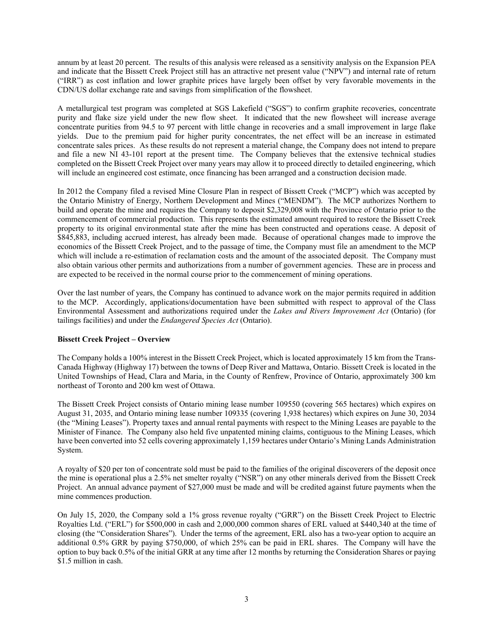annum by at least 20 percent. The results of this analysis were released as a sensitivity analysis on the Expansion PEA and indicate that the Bissett Creek Project still has an attractive net present value ("NPV") and internal rate of return ("IRR") as cost inflation and lower graphite prices have largely been offset by very favorable movements in the CDN/US dollar exchange rate and savings from simplification of the flowsheet.

A metallurgical test program was completed at SGS Lakefield ("SGS") to confirm graphite recoveries, concentrate purity and flake size yield under the new flow sheet. It indicated that the new flowsheet will increase average concentrate purities from 94.5 to 97 percent with little change in recoveries and a small improvement in large flake yields. Due to the premium paid for higher purity concentrates, the net effect will be an increase in estimated concentrate sales prices. As these results do not represent a material change, the Company does not intend to prepare and file a new NI 43-101 report at the present time. The Company believes that the extensive technical studies completed on the Bissett Creek Project over many years may allow it to proceed directly to detailed engineering, which will include an engineered cost estimate, once financing has been arranged and a construction decision made.

In 2012 the Company filed a revised Mine Closure Plan in respect of Bissett Creek ("MCP") which was accepted by the Ontario Ministry of Energy, Northern Development and Mines ("MENDM"). The MCP authorizes Northern to build and operate the mine and requires the Company to deposit \$2,329,008 with the Province of Ontario prior to the commencement of commercial production. This represents the estimated amount required to restore the Bissett Creek property to its original environmental state after the mine has been constructed and operations cease. A deposit of \$845,883, including accrued interest, has already been made. Because of operational changes made to improve the economics of the Bissett Creek Project, and to the passage of time, the Company must file an amendment to the MCP which will include a re-estimation of reclamation costs and the amount of the associated deposit. The Company must also obtain various other permits and authorizations from a number of government agencies. These are in process and are expected to be received in the normal course prior to the commencement of mining operations.

Over the last number of years, the Company has continued to advance work on the major permits required in addition to the MCP. Accordingly, applications/documentation have been submitted with respect to approval of the Class Environmental Assessment and authorizations required under the *Lakes and Rivers Improvement Act* (Ontario) (for tailings facilities) and under the *Endangered Species Act* (Ontario).

# **Bissett Creek Project – Overview**

The Company holds a 100% interest in the Bissett Creek Project, which is located approximately 15 km from the Trans-Canada Highway (Highway 17) between the towns of Deep River and Mattawa, Ontario. Bissett Creek is located in the United Townships of Head, Clara and Maria, in the County of Renfrew, Province of Ontario, approximately 300 km northeast of Toronto and 200 km west of Ottawa.

The Bissett Creek Project consists of Ontario mining lease number 109550 (covering 565 hectares) which expires on August 31, 2035, and Ontario mining lease number 109335 (covering 1,938 hectares) which expires on June 30, 2034 (the "Mining Leases"). Property taxes and annual rental payments with respect to the Mining Leases are payable to the Minister of Finance. The Company also held five unpatented mining claims, contiguous to the Mining Leases, which have been converted into 52 cells covering approximately 1,159 hectares under Ontario's Mining Lands Administration System.

A royalty of \$20 per ton of concentrate sold must be paid to the families of the original discoverers of the deposit once the mine is operational plus a 2.5% net smelter royalty ("NSR") on any other minerals derived from the Bissett Creek Project. An annual advance payment of \$27,000 must be made and will be credited against future payments when the mine commences production.

On July 15, 2020, the Company sold a 1% gross revenue royalty ("GRR") on the Bissett Creek Project to Electric Royalties Ltd. ("ERL") for \$500,000 in cash and 2,000,000 common shares of ERL valued at \$440,340 at the time of closing (the "Consideration Shares"). Under the terms of the agreement, ERL also has a two-year option to acquire an additional 0.5% GRR by paying \$750,000, of which 25% can be paid in ERL shares. The Company will have the option to buy back 0.5% of the initial GRR at any time after 12 months by returning the Consideration Shares or paying \$1.5 million in cash.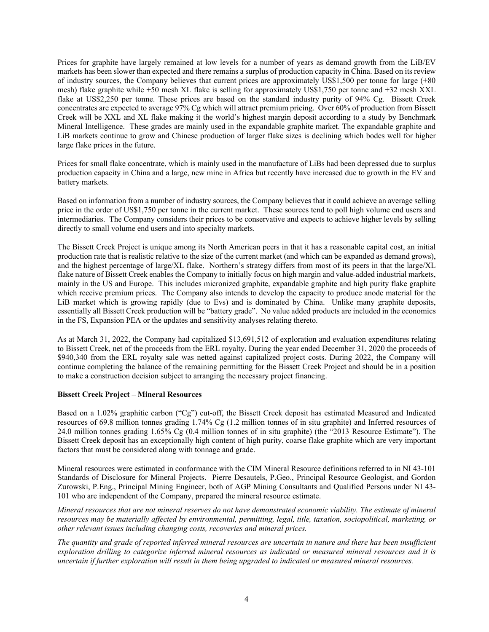Prices for graphite have largely remained at low levels for a number of years as demand growth from the LiB/EV markets has been slower than expected and there remains a surplus of production capacity in China. Based on its review of industry sources, the Company believes that current prices are approximately US\$1,500 per tonne for large (+80 mesh) flake graphite while +50 mesh XL flake is selling for approximately US\$1,750 per tonne and +32 mesh XXL flake at US\$2,250 per tonne. These prices are based on the standard industry purity of 94% Cg. Bissett Creek concentrates are expected to average 97% Cg which will attract premium pricing. Over 60% of production from Bissett Creek will be XXL and XL flake making it the world's highest margin deposit according to a study by Benchmark Mineral Intelligence. These grades are mainly used in the expandable graphite market. The expandable graphite and LiB markets continue to grow and Chinese production of larger flake sizes is declining which bodes well for higher large flake prices in the future.

Prices for small flake concentrate, which is mainly used in the manufacture of LiBs had been depressed due to surplus production capacity in China and a large, new mine in Africa but recently have increased due to growth in the EV and battery markets.

Based on information from a number of industry sources, the Company believes that it could achieve an average selling price in the order of US\$1,750 per tonne in the current market. These sources tend to poll high volume end users and intermediaries. The Company considers their prices to be conservative and expects to achieve higher levels by selling directly to small volume end users and into specialty markets.

The Bissett Creek Project is unique among its North American peers in that it has a reasonable capital cost, an initial production rate that is realistic relative to the size of the current market (and which can be expanded as demand grows), and the highest percentage of large/XL flake. Northern's strategy differs from most of its peers in that the large/XL flake nature of Bissett Creek enables the Company to initially focus on high margin and value-added industrial markets, mainly in the US and Europe. This includes micronized graphite, expandable graphite and high purity flake graphite which receive premium prices. The Company also intends to develop the capacity to produce anode material for the LiB market which is growing rapidly (due to Evs) and is dominated by China. Unlike many graphite deposits, essentially all Bissett Creek production will be "battery grade". No value added products are included in the economics in the FS, Expansion PEA or the updates and sensitivity analyses relating thereto.

As at March 31, 2022, the Company had capitalized \$13,691,512 of exploration and evaluation expenditures relating to Bissett Creek, net of the proceeds from the ERL royalty. During the year ended December 31, 2020 the proceeds of \$940,340 from the ERL royalty sale was netted against capitalized project costs. During 2022, the Company will continue completing the balance of the remaining permitting for the Bissett Creek Project and should be in a position to make a construction decision subject to arranging the necessary project financing.

# **Bissett Creek Project – Mineral Resources**

Based on a 1.02% graphitic carbon ("Cg") cut-off, the Bissett Creek deposit has estimated Measured and Indicated resources of 69.8 million tonnes grading 1.74% Cg (1.2 million tonnes of in situ graphite) and Inferred resources of 24.0 million tonnes grading 1.65% Cg (0.4 million tonnes of in situ graphite) (the "2013 Resource Estimate"). The Bissett Creek deposit has an exceptionally high content of high purity, coarse flake graphite which are very important factors that must be considered along with tonnage and grade.

Mineral resources were estimated in conformance with the CIM Mineral Resource definitions referred to in NI 43-101 Standards of Disclosure for Mineral Projects. Pierre Desautels, P.Geo., Principal Resource Geologist, and Gordon Zurowski, P.Eng., Principal Mining Engineer, both of AGP Mining Consultants and Qualified Persons under NI 43- 101 who are independent of the Company, prepared the mineral resource estimate.

*Mineral resources that are not mineral reserves do not have demonstrated economic viability. The estimate of mineral resources may be materially affected by environmental, permitting, legal, title, taxation, sociopolitical, marketing, or other relevant issues including changing costs, recoveries and mineral prices.*

*The quantity and grade of reported inferred mineral resources are uncertain in nature and there has been insufficient exploration drilling to categorize inferred mineral resources as indicated or measured mineral resources and it is uncertain if further exploration will result in them being upgraded to indicated or measured mineral resources.*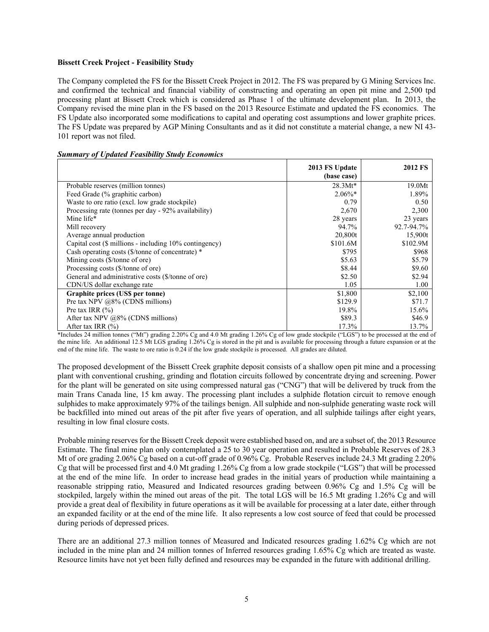### **Bissett Creek Project - Feasibility Study**

The Company completed the FS for the Bissett Creek Project in 2012. The FS was prepared by G Mining Services Inc. and confirmed the technical and financial viability of constructing and operating an open pit mine and 2,500 tpd processing plant at Bissett Creek which is considered as Phase 1 of the ultimate development plan. In 2013, the Company revised the mine plan in the FS based on the 2013 Resource Estimate and updated the FS economics. The FS Update also incorporated some modifications to capital and operating cost assumptions and lower graphite prices. The FS Update was prepared by AGP Mining Consultants and as it did not constitute a material change, a new NI 43- 101 report was not filed.

|                                                        | 2013 FS Update<br>(base case) | 2012 FS    |
|--------------------------------------------------------|-------------------------------|------------|
| Probable reserves (million tonnes)                     | $28.3Mt*$                     | 19.0Mt     |
| Feed Grade (% graphitic carbon)                        | $2.06\%$ *                    | 1.89%      |
| Waste to ore ratio (excl. low grade stockpile)         | 0.79                          | 0.50       |
| Processing rate (tonnes per day - 92% availability)    | 2,670                         | 2,300      |
| Mine life*                                             | 28 years                      | 23 years   |
| Mill recovery                                          | 94.7%                         | 92.7-94.7% |
| Average annual production                              | 20,800t                       | 15,900t    |
| Capital cost (\$ millions - including 10% contingency) | \$101.6M                      | \$102.9M   |
| Cash operating costs (\$/tonne of concentrate) *       | \$795                         | \$968      |
| Mining costs (\$/tonne of ore)                         | \$5.63                        | \$5.79     |
| Processing costs (\$/tonne of ore)                     | \$8.44                        | \$9.60     |
| General and administrative costs (\$/tonne of ore)     | \$2.50                        | \$2.94     |
| CDN/US dollar exchange rate                            | 1.05                          | 1.00       |
| Graphite prices (US\$ per tonne)                       | \$1,800                       | \$2,100    |
| Pre tax NPV $@8\%$ (CDN\$ millions)                    | \$129.9                       | \$71.7     |
| Pre tax IRR $(\% )$                                    | 19.8%                         | 15.6%      |
| After tax NPV @8% (CDN\$ millions)                     | \$89.3                        | \$46.9     |
| After tax IRR $(\% )$                                  | 17.3%                         | 13.7%      |

#### *Summary of Updated Feasibility Study Economics*

\*Includes 24 million tonnes ("Mt") grading 2.20% Cg and 4.0 Mt grading 1.26% Cg of low grade stockpile ("LGS") to be processed at the end of the mine life. An additional 12.5 Mt LGS grading 1.26% Cg is stored in the pit and is available for processing through a future expansion or at the end of the mine life. The waste to ore ratio is 0.24 if the low grade stockpile is processed. All grades are diluted.

The proposed development of the Bissett Creek graphite deposit consists of a shallow open pit mine and a processing plant with conventional crushing, grinding and flotation circuits followed by concentrate drying and screening. Power for the plant will be generated on site using compressed natural gas ("CNG") that will be delivered by truck from the main Trans Canada line, 15 km away. The processing plant includes a sulphide flotation circuit to remove enough sulphides to make approximately 97% of the tailings benign. All sulphide and non-sulphide generating waste rock will be backfilled into mined out areas of the pit after five years of operation, and all sulphide tailings after eight years, resulting in low final closure costs.

Probable mining reserves for the Bissett Creek deposit were established based on, and are a subset of, the 2013 Resource Estimate. The final mine plan only contemplated a 25 to 30 year operation and resulted in Probable Reserves of 28.3 Mt of ore grading 2.06% Cg based on a cut-off grade of 0.96% Cg. Probable Reserves include 24.3 Mt grading 2.20% Cg that will be processed first and 4.0 Mt grading 1.26% Cg from a low grade stockpile ("LGS") that will be processed at the end of the mine life. In order to increase head grades in the initial years of production while maintaining a reasonable stripping ratio, Measured and Indicated resources grading between 0.96% Cg and 1.5% Cg will be stockpiled, largely within the mined out areas of the pit. The total LGS will be 16.5 Mt grading 1.26% Cg and will provide a great deal of flexibility in future operations as it will be available for processing at a later date, either through an expanded facility or at the end of the mine life. It also represents a low cost source of feed that could be processed during periods of depressed prices.

There are an additional 27.3 million tonnes of Measured and Indicated resources grading 1.62% Cg which are not included in the mine plan and 24 million tonnes of Inferred resources grading 1.65% Cg which are treated as waste. Resource limits have not yet been fully defined and resources may be expanded in the future with additional drilling.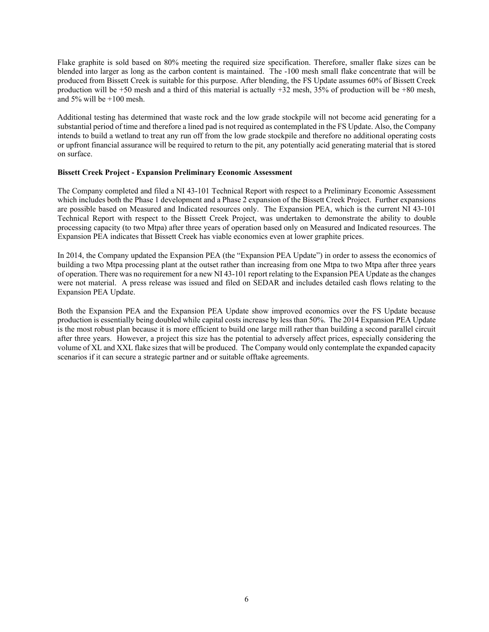Flake graphite is sold based on 80% meeting the required size specification. Therefore, smaller flake sizes can be blended into larger as long as the carbon content is maintained. The -100 mesh small flake concentrate that will be produced from Bissett Creek is suitable for this purpose. After blending, the FS Update assumes 60% of Bissett Creek production will be +50 mesh and a third of this material is actually +32 mesh, 35% of production will be +80 mesh, and 5% will be  $+100$  mesh.

Additional testing has determined that waste rock and the low grade stockpile will not become acid generating for a substantial period of time and therefore a lined pad is not required as contemplated in the FS Update. Also, the Company intends to build a wetland to treat any run off from the low grade stockpile and therefore no additional operating costs or upfront financial assurance will be required to return to the pit, any potentially acid generating material that is stored on surface.

# **Bissett Creek Project - Expansion Preliminary Economic Assessment**

The Company completed and filed a NI 43-101 Technical Report with respect to a Preliminary Economic Assessment which includes both the Phase 1 development and a Phase 2 expansion of the Bissett Creek Project. Further expansions are possible based on Measured and Indicated resources only. The Expansion PEA, which is the current NI 43-101 Technical Report with respect to the Bissett Creek Project, was undertaken to demonstrate the ability to double processing capacity (to two Mtpa) after three years of operation based only on Measured and Indicated resources. The Expansion PEA indicates that Bissett Creek has viable economics even at lower graphite prices.

In 2014, the Company updated the Expansion PEA (the "Expansion PEA Update") in order to assess the economics of building a two Mtpa processing plant at the outset rather than increasing from one Mtpa to two Mtpa after three years of operation. There was no requirement for a new NI 43-101 report relating to the Expansion PEA Update as the changes were not material. A press release was issued and filed on SEDAR and includes detailed cash flows relating to the Expansion PEA Update.

Both the Expansion PEA and the Expansion PEA Update show improved economics over the FS Update because production is essentially being doubled while capital costs increase by less than 50%. The 2014 Expansion PEA Update is the most robust plan because it is more efficient to build one large mill rather than building a second parallel circuit after three years. However, a project this size has the potential to adversely affect prices, especially considering the volume of XL and XXL flake sizes that will be produced. The Company would only contemplate the expanded capacity scenarios if it can secure a strategic partner and or suitable offtake agreements.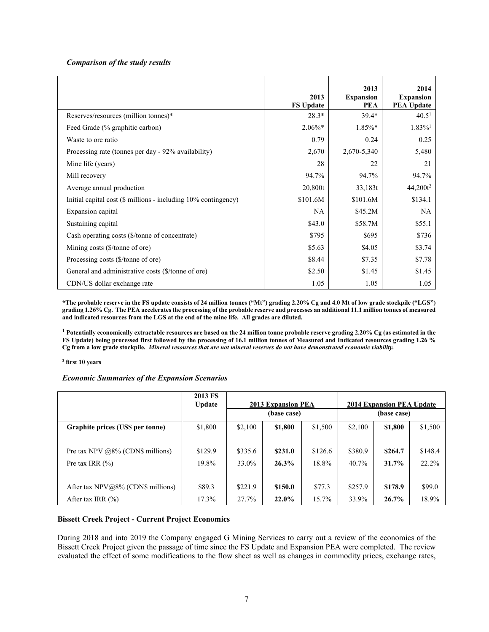# *Comparison of the study results*

|                                                                     | 2013<br><b>FS Update</b> | 2013<br><b>Expansion</b><br><b>PEA</b> | 2014<br><b>Expansion</b><br><b>PEA Update</b> |
|---------------------------------------------------------------------|--------------------------|----------------------------------------|-----------------------------------------------|
| Reserves/resources (million tonnes)*                                | $28.3*$                  | $39.4*$                                | 40.5 <sup>1</sup>                             |
| Feed Grade (% graphitic carbon)                                     | $2.06\%*$                | $1.85\%*$                              | $1.83\%$ <sup>1</sup>                         |
| Waste to ore ratio                                                  | 0.79                     | 0.24                                   | 0.25                                          |
| Processing rate (tonnes per day - 92% availability)                 | 2,670                    | 2,670-5,340                            | 5,480                                         |
| Mine life (years)                                                   | 28                       | 22                                     | 21                                            |
| Mill recovery                                                       | 94.7%                    | 94.7%                                  | 94.7%                                         |
| Average annual production                                           | 20,800t                  | 33,183t                                | 44,200t <sup>2</sup>                          |
| Initial capital cost $(\$$ millions - including $10\%$ contingency) | \$101.6M                 | \$101.6M                               | \$134.1                                       |
| Expansion capital                                                   | NA                       | \$45.2M                                | NA                                            |
| Sustaining capital                                                  | \$43.0                   | \$58.7M                                | \$55.1                                        |
| Cash operating costs (\$/tonne of concentrate)                      | \$795                    | \$695                                  | \$736                                         |
| Mining costs (\$/tonne of ore)                                      | \$5.63                   | \$4.05                                 | \$3.74                                        |
| Processing costs (\$/tonne of ore)                                  | \$8.44                   | \$7.35                                 | \$7.78                                        |
| General and administrative costs (\$/tonne of ore)                  | \$2.50                   | \$1.45                                 | \$1.45                                        |
| CDN/US dollar exchange rate                                         | 1.05                     | 1.05                                   | 1.05                                          |

**\*The probable reserve in the FS update consists of 24 million tonnes ("Mt") grading 2.20% Cg and 4.0 Mt of low grade stockpile ("LGS") grading 1.26% Cg. The PEA accelerates the processing of the probable reserve and processes an additional 11.1 million tonnes of measured and indicated resources from the LGS at the end of the mine life. All grades are diluted.** 

**<sup>1</sup> Potentially economically extractable resources are based on the 24 million tonne probable reserve grading 2.20% Cg (as estimated in the FS Update) being processed first followed by the processing of 16.1 million tonnes of Measured and Indicated resources grading 1.26 % Cg from a low grade stockpile.** *Mineral resources that are not mineral reserves do not have demonstrated economic viability.* 

#### **<sup>2</sup> first 10 years**

#### *Economic Summaries of the Expansion Scenarios*

|                                     | 2013 FS<br><b>Update</b> | <b>2013 Expansion PEA</b> |             |         | 2014 Expansion PEA Update |             |         |
|-------------------------------------|--------------------------|---------------------------|-------------|---------|---------------------------|-------------|---------|
|                                     |                          |                           | (base case) |         |                           | (base case) |         |
| Graphite prices (US\$ per tonne)    | \$1,800                  | \$2,100                   | \$1,800     | \$1,500 | \$2,100                   | \$1,800     | \$1,500 |
|                                     |                          |                           |             |         |                           |             |         |
| Pre tax NPV $@8\%$ (CDN\$ millions) | \$129.9                  | \$335.6                   | \$231.0     | \$126.6 | \$380.9                   | \$264.7     | \$148.4 |
| Pre tax IRR $(\% )$                 | 19.8%                    | 33.0%                     | 26.3%       | 18.8%   | 40.7%                     | 31.7%       | 22.2%   |
|                                     |                          |                           |             |         |                           |             |         |
| After tax $NPV@8%$ (CDN\$ millions) | \$89.3                   | \$221.9                   | \$150.0     | \$77.3  | \$257.9                   | \$178.9     | \$99.0  |
| After tax IRR $(\% )$               | 17.3%                    | 27.7%                     | 22.0%       | 15.7%   | 33.9%                     | 26.7%       | 18.9%   |

# **Bissett Creek Project - Current Project Economics**

During 2018 and into 2019 the Company engaged G Mining Services to carry out a review of the economics of the Bissett Creek Project given the passage of time since the FS Update and Expansion PEA were completed. The review evaluated the effect of some modifications to the flow sheet as well as changes in commodity prices, exchange rates,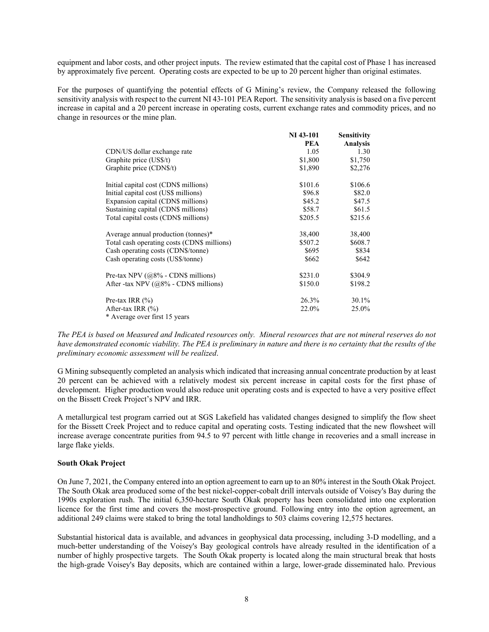equipment and labor costs, and other project inputs. The review estimated that the capital cost of Phase 1 has increased by approximately five percent. Operating costs are expected to be up to 20 percent higher than original estimates.

For the purposes of quantifying the potential effects of G Mining's review, the Company released the following sensitivity analysis with respect to the current NI 43-101 PEA Report. The sensitivity analysis is based on a five percent increase in capital and a 20 percent increase in operating costs, current exchange rates and commodity prices, and no change in resources or the mine plan.

|                                             | <b>NI</b> 43-101 | <b>Sensitivity</b> |
|---------------------------------------------|------------------|--------------------|
|                                             | <b>PEA</b>       | <b>Analysis</b>    |
| CDN/US dollar exchange rate                 | 1.05             | 1.30               |
| Graphite price (US\$/t)                     | \$1,800          | \$1,750            |
| Graphite price (CDN\$/t)                    | \$1,890          | \$2,276            |
| Initial capital cost (CDN\$ millions)       | \$101.6          | \$106.6            |
| Initial capital cost (US\$ millions)        | \$96.8           | \$82.0             |
| Expansion capital (CDN\$ millions)          | \$45.2           | \$47.5             |
| Sustaining capital (CDN\$ millions)         | \$58.7           | \$61.5             |
| Total capital costs (CDN\$ millions)        | \$205.5          | \$215.6            |
| Average annual production (tonnes)*         | 38,400           | 38,400             |
| Total cash operating costs (CDN\$ millions) | \$507.2          | \$608.7            |
| Cash operating costs (CDN\$/tonne)          | \$695            | \$834              |
| Cash operating costs (US\$/tonne)           | \$662            | \$642              |
| Pre-tax NPV $(a8\% - CDN\$ millions)        | \$231.0          | \$304.9            |
| After -tax NPV ( $@8\%$ - CDN\$ millions)   | \$150.0          | \$198.2            |
| Pre-tax IRR $(\% )$                         | 26.3%            | 30.1%              |
| After-tax IRR $(\% )$                       | 22.0%            | 25.0%              |
| * Average over first 15 years               |                  |                    |

*The PEA is based on Measured and Indicated resources only. Mineral resources that are not mineral reserves do not have demonstrated economic viability. The PEA is preliminary in nature and there is no certainty that the results of the preliminary economic assessment will be realized*.

G Mining subsequently completed an analysis which indicated that increasing annual concentrate production by at least 20 percent can be achieved with a relatively modest six percent increase in capital costs for the first phase of development. Higher production would also reduce unit operating costs and is expected to have a very positive effect on the Bissett Creek Project's NPV and IRR.

A metallurgical test program carried out at SGS Lakefield has validated changes designed to simplify the flow sheet for the Bissett Creek Project and to reduce capital and operating costs. Testing indicated that the new flowsheet will increase average concentrate purities from 94.5 to 97 percent with little change in recoveries and a small increase in large flake yields.

#### **South Okak Project**

On June 7, 2021, the Company entered into an option agreement to earn up to an 80% interest in the South Okak Project. The South Okak area produced some of the best nickel-copper-cobalt drill intervals outside of Voisey's Bay during the 1990s exploration rush. The initial 6,350-hectare South Okak property has been consolidated into one exploration licence for the first time and covers the most-prospective ground. Following entry into the option agreement, an additional 249 claims were staked to bring the total landholdings to 503 claims covering 12,575 hectares.

Substantial historical data is available, and advances in geophysical data processing, including 3-D modelling, and a much-better understanding of the Voisey's Bay geological controls have already resulted in the identification of a number of highly prospective targets. The South Okak property is located along the main structural break that hosts the high-grade Voisey's Bay deposits, which are contained within a large, lower-grade disseminated halo. Previous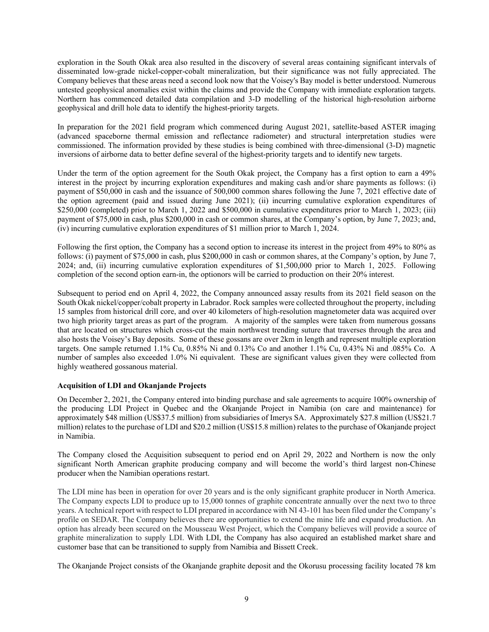exploration in the South Okak area also resulted in the discovery of several areas containing significant intervals of disseminated low-grade nickel-copper-cobalt mineralization, but their significance was not fully appreciated. The Company believes that these areas need a second look now that the Voisey's Bay model is better understood. Numerous untested geophysical anomalies exist within the claims and provide the Company with immediate exploration targets. Northern has commenced detailed data compilation and 3-D modelling of the historical high-resolution airborne geophysical and drill hole data to identify the highest-priority targets.

In preparation for the 2021 field program which commenced during August 2021, satellite-based ASTER imaging (advanced spaceborne thermal emission and reflectance radiometer) and structural interpretation studies were commissioned. The information provided by these studies is being combined with three-dimensional (3-D) magnetic inversions of airborne data to better define several of the highest-priority targets and to identify new targets.

Under the term of the option agreement for the South Okak project, the Company has a first option to earn a 49% interest in the project by incurring exploration expenditures and making cash and/or share payments as follows: (i) payment of \$50,000 in cash and the issuance of 500,000 common shares following the June 7, 2021 effective date of the option agreement (paid and issued during June 2021); (ii) incurring cumulative exploration expenditures of \$250,000 (completed) prior to March 1, 2022 and \$500,000 in cumulative expenditures prior to March 1, 2023; (iii) payment of \$75,000 in cash, plus \$200,000 in cash or common shares, at the Company's option, by June 7, 2023; and, (iv) incurring cumulative exploration expenditures of \$1 million prior to March 1, 2024.

Following the first option, the Company has a second option to increase its interest in the project from 49% to 80% as follows: (i) payment of \$75,000 in cash, plus \$200,000 in cash or common shares, at the Company's option, by June 7, 2024; and, (ii) incurring cumulative exploration expenditures of \$1,500,000 prior to March 1, 2025. Following completion of the second option earn-in, the optionors will be carried to production on their 20% interest.

Subsequent to period end on April 4, 2022, the Company announced assay results from its 2021 field season on the South Okak nickel/copper/cobalt property in Labrador. Rock samples were collected throughout the property, including 15 samples from historical drill core, and over 40 kilometers of high-resolution magnetometer data was acquired over two high priority target areas as part of the program. A majority of the samples were taken from numerous gossans that are located on structures which cross-cut the main northwest trending suture that traverses through the area and also hosts the Voisey's Bay deposits. Some of these gossans are over 2km in length and represent multiple exploration targets. One sample returned 1.1% Cu, 0.85% Ni and 0.13% Co and another 1.1% Cu, 0.43% Ni and .085% Co. A number of samples also exceeded 1.0% Ni equivalent. These are significant values given they were collected from highly weathered gossanous material.

# **Acquisition of LDI and Okanjande Projects**

On December 2, 2021, the Company entered into binding purchase and sale agreements to acquire 100% ownership of the producing LDI Project in Quebec and the Okanjande Project in Namibia (on care and maintenance) for approximately \$48 million (US\$37.5 million) from subsidiaries of Imerys SA. Approximately \$27.8 million (US\$21.7 million) relates to the purchase of LDI and \$20.2 million (US\$15.8 million) relates to the purchase of Okanjande project in Namibia.

The Company closed the Acquisition subsequent to period end on April 29, 2022 and Northern is now the only significant North American graphite producing company and will become the world's third largest non-Chinese producer when the Namibian operations restart.

The LDI mine has been in operation for over 20 years and is the only significant graphite producer in North America. The Company expects LDI to produce up to 15,000 tonnes of graphite concentrate annually over the next two to three years. A technical report with respect to LDI prepared in accordance with NI 43-101 has been filed under the Company's profile on SEDAR. The Company believes there are opportunities to extend the mine life and expand production. An option has already been secured on the Mousseau West Project, which the Company believes will provide a source of graphite mineralization to supply LDI. With LDI, the Company has also acquired an established market share and customer base that can be transitioned to supply from Namibia and Bissett Creek.

The Okanjande Project consists of the Okanjande graphite deposit and the Okorusu processing facility located 78 km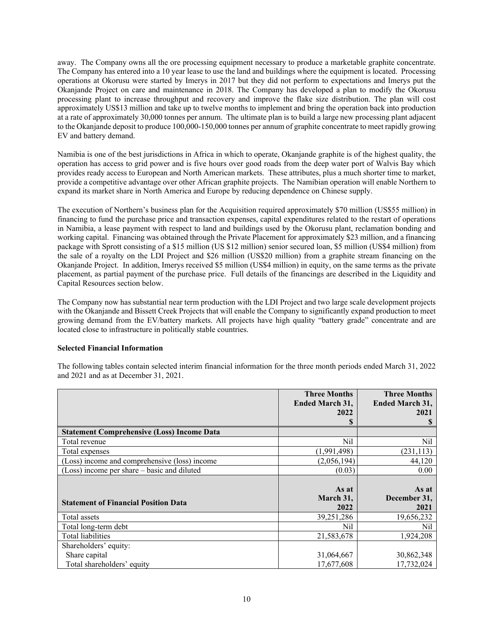away. The Company owns all the ore processing equipment necessary to produce a marketable graphite concentrate. The Company has entered into a 10 year lease to use the land and buildings where the equipment is located. Processing operations at Okorusu were started by Imerys in 2017 but they did not perform to expectations and Imerys put the Okanjande Project on care and maintenance in 2018. The Company has developed a plan to modify the Okorusu processing plant to increase throughput and recovery and improve the flake size distribution. The plan will cost approximately US\$13 million and take up to twelve months to implement and bring the operation back into production at a rate of approximately 30,000 tonnes per annum. The ultimate plan is to build a large new processing plant adjacent to the Okanjande deposit to produce 100,000-150,000 tonnes per annum of graphite concentrate to meet rapidly growing EV and battery demand.

Namibia is one of the best jurisdictions in Africa in which to operate, Okanjande graphite is of the highest quality, the operation has access to grid power and is five hours over good roads from the deep water port of Walvis Bay which provides ready access to European and North American markets. These attributes, plus a much shorter time to market, provide a competitive advantage over other African graphite projects. The Namibian operation will enable Northern to expand its market share in North America and Europe by reducing dependence on Chinese supply.

The execution of Northern's business plan for the Acquisition required approximately \$70 million (US\$55 million) in financing to fund the purchase price and transaction expenses, capital expenditures related to the restart of operations in Namibia, a lease payment with respect to land and buildings used by the Okorusu plant, reclamation bonding and working capital. Financing was obtained through the Private Placement for approximately \$23 million, and a financing package with Sprott consisting of a \$15 million (US \$12 million) senior secured loan, \$5 million (US\$4 million) from the sale of a royalty on the LDI Project and \$26 million (US\$20 million) from a graphite stream financing on the Okanjande Project. In addition, Imerys received \$5 million (US\$4 million) in equity, on the same terms as the private placement, as partial payment of the purchase price. Full details of the financings are described in the Liquidity and Capital Resources section below.

The Company now has substantial near term production with the LDI Project and two large scale development projects with the Okanjande and Bissett Creek Projects that will enable the Company to significantly expand production to meet growing demand from the EV/battery markets. All projects have high quality "battery grade" concentrate and are located close to infrastructure in politically stable countries.

# **Selected Financial Information**

The following tables contain selected interim financial information for the three month periods ended March 31, 2022 and 2021 and as at December 31, 2021.

|                                                   | <b>Three Months</b>    | <b>Three Months</b>    |
|---------------------------------------------------|------------------------|------------------------|
|                                                   | <b>Ended March 31,</b> | <b>Ended March 31,</b> |
|                                                   | 2022                   | 2021                   |
|                                                   | S                      |                        |
| <b>Statement Comprehensive (Loss) Income Data</b> |                        |                        |
| Total revenue                                     | Nil                    | Nil                    |
| Total expenses                                    | (1,991,498)            | (231, 113)             |
| (Loss) income and comprehensive (loss) income     | (2,056,194)            | 44,120                 |
| (Loss) income per share - basic and diluted       | (0.03)                 | 0.00                   |
|                                                   |                        |                        |
|                                                   | As at                  | As at                  |
| <b>Statement of Financial Position Data</b>       | March 31,              | December 31,           |
|                                                   | 2022                   | 2021                   |
| Total assets                                      | 39,251,286             | 19,656,232             |
| Total long-term debt                              | Nil                    | Nil                    |
| Total liabilities                                 | 21,583,678             | 1,924,208              |
| Shareholders' equity:                             |                        |                        |
| Share capital                                     | 31,064,667             | 30,862,348             |
| Total shareholders' equity                        | 17,677,608             | 17,732,024             |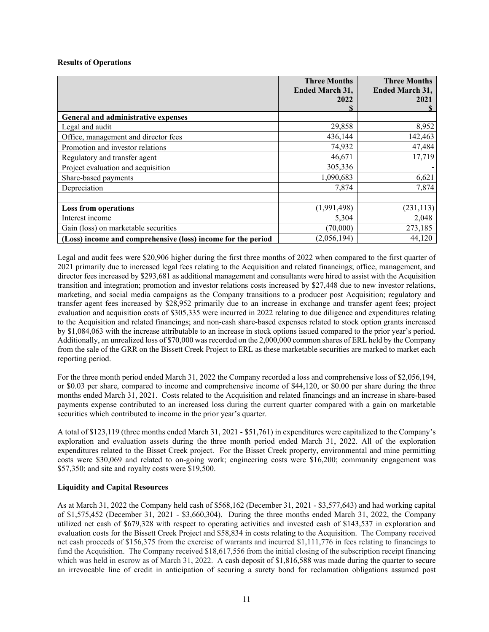# **Results of Operations**

|                                                              | <b>Three Months</b><br><b>Ended March 31,</b><br>2022 | <b>Three Months</b><br><b>Ended March 31,</b><br>2021 |
|--------------------------------------------------------------|-------------------------------------------------------|-------------------------------------------------------|
| General and administrative expenses                          |                                                       |                                                       |
| Legal and audit                                              | 29,858                                                | 8,952                                                 |
| Office, management and director fees                         | 436,144                                               | 142,463                                               |
| Promotion and investor relations                             | 74,932                                                | 47,484                                                |
| Regulatory and transfer agent                                | 46,671                                                | 17,719                                                |
| Project evaluation and acquisition                           | 305,336                                               |                                                       |
| Share-based payments                                         | 1,090,683                                             | 6,621                                                 |
| Depreciation                                                 | 7,874                                                 | 7,874                                                 |
|                                                              |                                                       |                                                       |
| <b>Loss from operations</b>                                  | (1,991,498)                                           | (231, 113)                                            |
| Interest income                                              | 5,304                                                 | 2,048                                                 |
| Gain (loss) on marketable securities                         | (70,000)                                              | 273,185                                               |
| (Loss) income and comprehensive (loss) income for the period | (2,056,194)                                           | 44,120                                                |

Legal and audit fees were \$20,906 higher during the first three months of 2022 when compared to the first quarter of 2021 primarily due to increased legal fees relating to the Acquisition and related financings; office, management, and director fees increased by \$293,681 as additional management and consultants were hired to assist with the Acquisition transition and integration; promotion and investor relations costs increased by \$27,448 due to new investor relations, marketing, and social media campaigns as the Company transitions to a producer post Acquisition; regulatory and transfer agent fees increased by \$28,952 primarily due to an increase in exchange and transfer agent fees; project evaluation and acquisition costs of \$305,335 were incurred in 2022 relating to due diligence and expenditures relating to the Acquisition and related financings; and non-cash share-based expenses related to stock option grants increased by \$1,084,063 with the increase attributable to an increase in stock options issued compared to the prior year's period. Additionally, an unrealized loss of \$70,000 was recorded on the 2,000,000 common shares of ERL held by the Company from the sale of the GRR on the Bissett Creek Project to ERL as these marketable securities are marked to market each reporting period.

For the three month period ended March 31, 2022 the Company recorded a loss and comprehensive loss of \$2,056,194, or \$0.03 per share, compared to income and comprehensive income of \$44,120, or \$0.00 per share during the three months ended March 31, 2021. Costs related to the Acquisition and related financings and an increase in share-based payments expense contributed to an increased loss during the current quarter compared with a gain on marketable securities which contributed to income in the prior year's quarter.

A total of \$123,119 (three months ended March 31, 2021 - \$51,761) in expenditures were capitalized to the Company's exploration and evaluation assets during the three month period ended March 31, 2022. All of the exploration expenditures related to the Bisset Creek project. For the Bisset Creek property, environmental and mine permitting costs were \$30,069 and related to on-going work; engineering costs were \$16,200; community engagement was \$57,350; and site and royalty costs were \$19,500.

# **Liquidity and Capital Resources**

As at March 31, 2022 the Company held cash of \$568,162 (December 31, 2021 - \$3,577,643) and had working capital of \$1,575,452 (December 31, 2021 - \$3,660,304). During the three months ended March 31, 2022, the Company utilized net cash of \$679,328 with respect to operating activities and invested cash of \$143,537 in exploration and evaluation costs for the Bissett Creek Project and \$58,834 in costs relating to the Acquisition. The Company received net cash proceeds of \$156,375 from the exercise of warrants and incurred \$1,111,776 in fees relating to financings to fund the Acquisition. The Company received \$18,617,556 from the initial closing of the subscription receipt financing which was held in escrow as of March 31, 2022. A cash deposit of \$1,816,588 was made during the quarter to secure an irrevocable line of credit in anticipation of securing a surety bond for reclamation obligations assumed post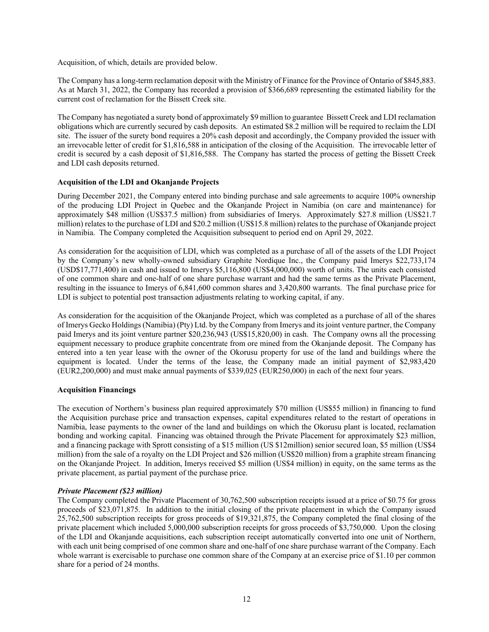Acquisition, of which, details are provided below.

The Company has a long-term reclamation deposit with the Ministry of Finance for the Province of Ontario of \$845,883. As at March 31, 2022, the Company has recorded a provision of \$366,689 representing the estimated liability for the current cost of reclamation for the Bissett Creek site.

The Company has negotiated a surety bond of approximately \$9 million to guarantee Bissett Creek and LDI reclamation obligations which are currently secured by cash deposits. An estimated \$8.2 million will be required to reclaim the LDI site. The issuer of the surety bond requires a 20% cash deposit and accordingly, the Company provided the issuer with an irrevocable letter of credit for \$1,816,588 in anticipation of the closing of the Acquisition. The irrevocable letter of credit is secured by a cash deposit of \$1,816,588. The Company has started the process of getting the Bissett Creek and LDI cash deposits returned.

# **Acquisition of the LDI and Okanjande Projects**

During December 2021, the Company entered into binding purchase and sale agreements to acquire 100% ownership of the producing LDI Project in Quebec and the Okanjande Project in Namibia (on care and maintenance) for approximately \$48 million (US\$37.5 million) from subsidiaries of Imerys. Approximately \$27.8 million (US\$21.7 million) relates to the purchase of LDI and \$20.2 million (US\$15.8 million) relates to the purchase of Okanjande project in Namibia. The Company completed the Acquisition subsequent to period end on April 29, 2022.

As consideration for the acquisition of LDI, which was completed as a purchase of all of the assets of the LDI Project by the Company's new wholly-owned subsidiary Graphite Nordique Inc., the Company paid Imerys \$22,733,174 (USD\$17,771,400) in cash and issued to Imerys \$5,116,800 (US\$4,000,000) worth of units. The units each consisted of one common share and one-half of one share purchase warrant and had the same terms as the Private Placement, resulting in the issuance to Imerys of 6,841,600 common shares and 3,420,800 warrants. The final purchase price for LDI is subject to potential post transaction adjustments relating to working capital, if any.

As consideration for the acquisition of the Okanjande Project, which was completed as a purchase of all of the shares of Imerys Gecko Holdings (Namibia) (Pty) Ltd. by the Company from Imerys and its joint venture partner, the Company paid Imerys and its joint venture partner \$20,236,943 (US\$15,820,00) in cash. The Company owns all the processing equipment necessary to produce graphite concentrate from ore mined from the Okanjande deposit. The Company has entered into a ten year lease with the owner of the Okorusu property for use of the land and buildings where the equipment is located. Under the terms of the lease, the Company made an initial payment of \$2,983,420 (EUR2,200,000) and must make annual payments of \$339,025 (EUR250,000) in each of the next four years.

#### **Acquisition Financings**

The execution of Northern's business plan required approximately \$70 million (US\$55 million) in financing to fund the Acquisition purchase price and transaction expenses, capital expenditures related to the restart of operations in Namibia, lease payments to the owner of the land and buildings on which the Okorusu plant is located, reclamation bonding and working capital. Financing was obtained through the Private Placement for approximately \$23 million, and a financing package with Sprott consisting of a \$15 million (US \$12million) senior secured loan, \$5 million (US\$4 million) from the sale of a royalty on the LDI Project and \$26 million (US\$20 million) from a graphite stream financing on the Okanjande Project. In addition, Imerys received \$5 million (US\$4 million) in equity, on the same terms as the private placement, as partial payment of the purchase price.

# *Private Placement (\$23 million)*

The Company completed the Private Placement of 30,762,500 subscription receipts issued at a price of \$0.75 for gross proceeds of \$23,071,875. In addition to the initial closing of the private placement in which the Company issued 25,762,500 subscription receipts for gross proceeds of \$19,321,875, the Company completed the final closing of the private placement which included 5,000,000 subscription receipts for gross proceeds of \$3,750,000. Upon the closing of the LDI and Okanjande acquisitions, each subscription receipt automatically converted into one unit of Northern, with each unit being comprised of one common share and one-half of one share purchase warrant of the Company. Each whole warrant is exercisable to purchase one common share of the Company at an exercise price of \$1.10 per common share for a period of 24 months.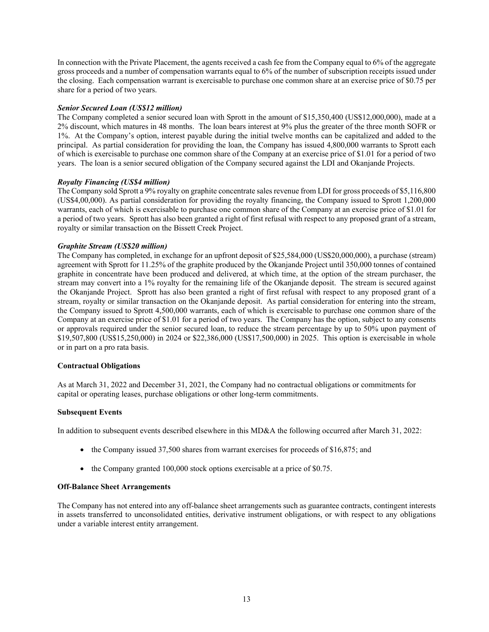In connection with the Private Placement, the agents received a cash fee from the Company equal to 6% of the aggregate gross proceeds and a number of compensation warrants equal to 6% of the number of subscription receipts issued under the closing. Each compensation warrant is exercisable to purchase one common share at an exercise price of \$0.75 per share for a period of two years.

# *Senior Secured Loan (US\$12 million)*

The Company completed a senior secured loan with Sprott in the amount of \$15,350,400 (US\$12,000,000), made at a 2% discount, which matures in 48 months. The loan bears interest at 9% plus the greater of the three month SOFR or 1%. At the Company's option, interest payable during the initial twelve months can be capitalized and added to the principal. As partial consideration for providing the loan, the Company has issued 4,800,000 warrants to Sprott each of which is exercisable to purchase one common share of the Company at an exercise price of \$1.01 for a period of two years. The loan is a senior secured obligation of the Company secured against the LDI and Okanjande Projects.

# *Royalty Financing (US\$4 million)*

The Company sold Sprott a 9% royalty on graphite concentrate sales revenue from LDI for gross proceeds of \$5,116,800 (US\$4,00,000). As partial consideration for providing the royalty financing, the Company issued to Sprott 1,200,000 warrants, each of which is exercisable to purchase one common share of the Company at an exercise price of \$1.01 for a period of two years. Sprott has also been granted a right of first refusal with respect to any proposed grant of a stream, royalty or similar transaction on the Bissett Creek Project.

# *Graphite Stream (US\$20 million)*

The Company has completed, in exchange for an upfront deposit of \$25,584,000 (US\$20,000,000), a purchase (stream) agreement with Sprott for 11.25% of the graphite produced by the Okanjande Project until 350,000 tonnes of contained graphite in concentrate have been produced and delivered, at which time, at the option of the stream purchaser, the stream may convert into a 1% royalty for the remaining life of the Okanjande deposit. The stream is secured against the Okanjande Project. Sprott has also been granted a right of first refusal with respect to any proposed grant of a stream, royalty or similar transaction on the Okanjande deposit. As partial consideration for entering into the stream, the Company issued to Sprott 4,500,000 warrants, each of which is exercisable to purchase one common share of the Company at an exercise price of \$1.01 for a period of two years. The Company has the option, subject to any consents or approvals required under the senior secured loan, to reduce the stream percentage by up to 50% upon payment of \$19,507,800 (US\$15,250,000) in 2024 or \$22,386,000 (US\$17,500,000) in 2025. This option is exercisable in whole or in part on a pro rata basis.

#### **Contractual Obligations**

As at March 31, 2022 and December 31, 2021, the Company had no contractual obligations or commitments for capital or operating leases, purchase obligations or other long-term commitments.

#### **Subsequent Events**

In addition to subsequent events described elsewhere in this MD&A the following occurred after March 31, 2022:

- the Company issued 37,500 shares from warrant exercises for proceeds of \$16,875; and
- the Company granted 100,000 stock options exercisable at a price of \$0.75.

# **Off-Balance Sheet Arrangements**

The Company has not entered into any off-balance sheet arrangements such as guarantee contracts, contingent interests in assets transferred to unconsolidated entities, derivative instrument obligations, or with respect to any obligations under a variable interest entity arrangement.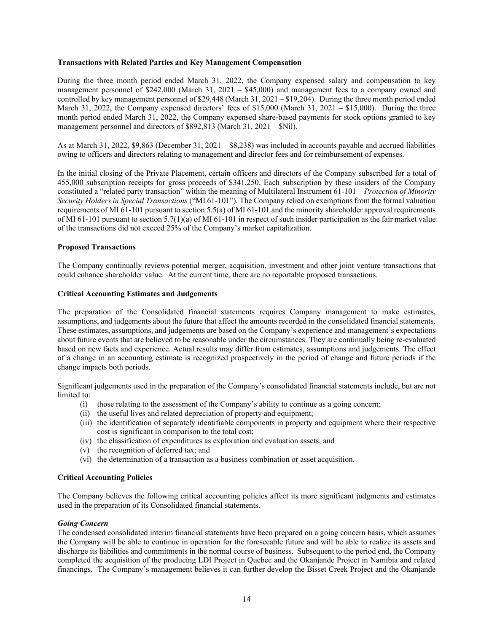# **Transactions with Related Parties and Key Management Compensation**

During the three month period ended March 31, 2022, the Company expensed salary and compensation to key management personnel of \$242,000 (March 31, 2021 – \$45,000) and management fees to a company owned and controlled by key management personnel of \$29,448 (March 31, 2021 – \$19,204). During the three month period ended March 31, 2022, the Company expensed directors' fees of \$15,000 (March 31, 2021 – \$15,000). During the three month period ended March 31, 2022, the Company expensed share-based payments for stock options granted to key management personnel and directors of \$892,813 (March 31, 2021 – \$Nil).

As at March 31, 2022, \$9,863 (December 31, 2021 – \$8,238) was included in accounts payable and accrued liabilities owing to officers and directors relating to management and director fees and for reimbursement of expenses.

In the initial closing of the Private Placement, certain officers and directors of the Company subscribed for a total of 455,000 subscription receipts for gross proceeds of \$341,250. Each subscription by these insiders of the Company constituted a "related party transaction" within the meaning of Multilateral Instrument 61-101 – *Protection of Minority Security Holders in Special Transactions* ("MI 61-101"). The Company relied on exemptions from the formal valuation requirements of MI 61-101 pursuant to section 5.5(a) of MI 61-101 and the minority shareholder approval requirements of MI 61-101 pursuant to section 5.7(1)(a) of MI 61-101 in respect of such insider participation as the fair market value of the transactions did not exceed 25% of the Company's market capitalization.

# **Proposed Transactions**

The Company continually reviews potential merger, acquisition, investment and other joint venture transactions that could enhance shareholder value. At the current time, there are no reportable proposed transactions.

# **Critical Accounting Estimates and Judgements**

The preparation of the Consolidated financial statements requires Company management to make estimates, assumptions, and judgements about the future that affect the amounts recorded in the consolidated financial statements. These estimates, assumptions, and judgements are based on the Company's experience and management's expectations about future events that are believed to be reasonable under the circumstances. They are continually being re-evaluated based on new facts and experience. Actual results may differ from estimates, assumptions and judgements. The effect of a change in an accounting estimate is recognized prospectively in the period of change and future periods if the change impacts both periods.

Significant judgements used in the preparation of the Company's consolidated financial statements include, but are not limited to:

- (i) those relating to the assessment of the Company's ability to continue as a going concern;
- (ii) the useful lives and related depreciation of property and equipment;
- (iii) the identification of separately identifiable components in property and equipment where their respective cost is significant in comparison to the total cost;
- (iv) the classification of expenditures as exploration and evaluation assets; and
- (v) the recognition of deferred tax; and
- (vi) the determination of a transaction as a business combination or asset acquisition.

#### **Critical Accounting Policies**

The Company believes the following critical accounting policies affect its more significant judgments and estimates used in the preparation of its Consolidated financial statements.

#### *Going Concern*

The condensed consolidated interim financial statements have been prepared on a going concern basis, which assumes the Company will be able to continue in operation for the foreseeable future and will be able to realize its assets and discharge its liabilities and commitments in the normal course of business. Subsequent to the period end, the Company completed the acquisition of the producing LDI Project in Quebec and the Okanjande Project in Namibia and related financings. The Company's management believes it can further develop the Bisset Creek Project and the Okanjande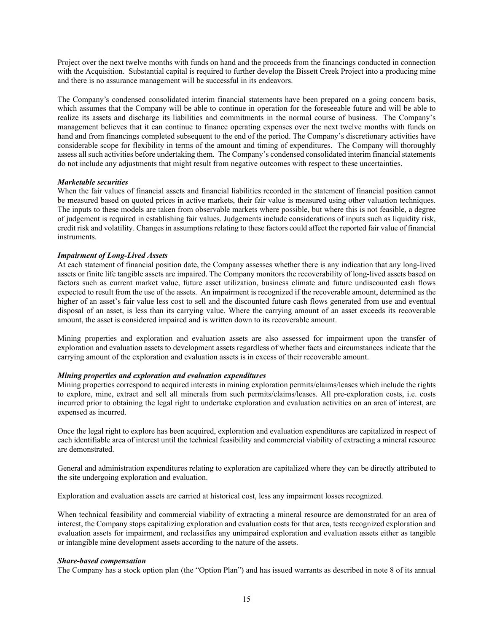Project over the next twelve months with funds on hand and the proceeds from the financings conducted in connection with the Acquisition. Substantial capital is required to further develop the Bissett Creek Project into a producing mine and there is no assurance management will be successful in its endeavors.

The Company's condensed consolidated interim financial statements have been prepared on a going concern basis, which assumes that the Company will be able to continue in operation for the foreseeable future and will be able to realize its assets and discharge its liabilities and commitments in the normal course of business. The Company's management believes that it can continue to finance operating expenses over the next twelve months with funds on hand and from financings completed subsequent to the end of the period. The Company's discretionary activities have considerable scope for flexibility in terms of the amount and timing of expenditures. The Company will thoroughly assess all such activities before undertaking them. The Company's condensed consolidated interim financial statements do not include any adjustments that might result from negative outcomes with respect to these uncertainties.

#### *Marketable securities*

When the fair values of financial assets and financial liabilities recorded in the statement of financial position cannot be measured based on quoted prices in active markets, their fair value is measured using other valuation techniques. The inputs to these models are taken from observable markets where possible, but where this is not feasible, a degree of judgement is required in establishing fair values. Judgements include considerations of inputs such as liquidity risk, credit risk and volatility. Changes in assumptions relating to these factors could affect the reported fair value of financial instruments.

# *Impairment of Long-Lived Assets*

At each statement of financial position date, the Company assesses whether there is any indication that any long-lived assets or finite life tangible assets are impaired. The Company monitors the recoverability of long-lived assets based on factors such as current market value, future asset utilization, business climate and future undiscounted cash flows expected to result from the use of the assets. An impairment is recognized if the recoverable amount, determined as the higher of an asset's fair value less cost to sell and the discounted future cash flows generated from use and eventual disposal of an asset, is less than its carrying value. Where the carrying amount of an asset exceeds its recoverable amount, the asset is considered impaired and is written down to its recoverable amount.

Mining properties and exploration and evaluation assets are also assessed for impairment upon the transfer of exploration and evaluation assets to development assets regardless of whether facts and circumstances indicate that the carrying amount of the exploration and evaluation assets is in excess of their recoverable amount.

#### *Mining properties and exploration and evaluation expenditures*

Mining properties correspond to acquired interests in mining exploration permits/claims/leases which include the rights to explore, mine, extract and sell all minerals from such permits/claims/leases. All pre-exploration costs, i.e. costs incurred prior to obtaining the legal right to undertake exploration and evaluation activities on an area of interest, are expensed as incurred.

Once the legal right to explore has been acquired, exploration and evaluation expenditures are capitalized in respect of each identifiable area of interest until the technical feasibility and commercial viability of extracting a mineral resource are demonstrated.

General and administration expenditures relating to exploration are capitalized where they can be directly attributed to the site undergoing exploration and evaluation.

Exploration and evaluation assets are carried at historical cost, less any impairment losses recognized.

When technical feasibility and commercial viability of extracting a mineral resource are demonstrated for an area of interest, the Company stops capitalizing exploration and evaluation costs for that area, tests recognized exploration and evaluation assets for impairment, and reclassifies any unimpaired exploration and evaluation assets either as tangible or intangible mine development assets according to the nature of the assets.

#### *Share-based compensation*

The Company has a stock option plan (the "Option Plan") and has issued warrants as described in note 8 of its annual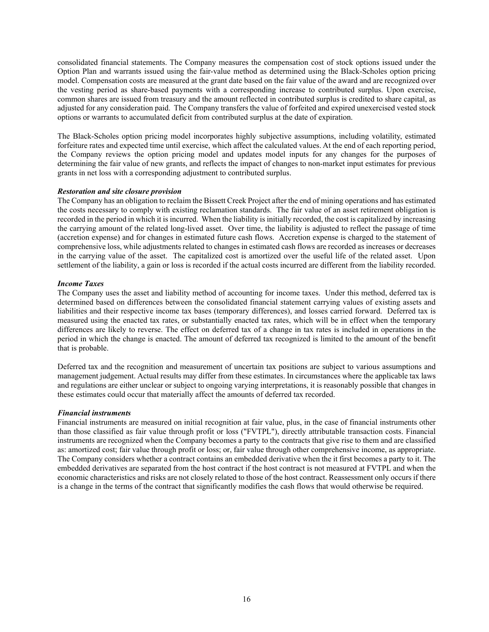consolidated financial statements. The Company measures the compensation cost of stock options issued under the Option Plan and warrants issued using the fair-value method as determined using the Black-Scholes option pricing model. Compensation costs are measured at the grant date based on the fair value of the award and are recognized over the vesting period as share-based payments with a corresponding increase to contributed surplus. Upon exercise, common shares are issued from treasury and the amount reflected in contributed surplus is credited to share capital, as adjusted for any consideration paid. The Company transfers the value of forfeited and expired unexercised vested stock options or warrants to accumulated deficit from contributed surplus at the date of expiration.

The Black-Scholes option pricing model incorporates highly subjective assumptions, including volatility, estimated forfeiture rates and expected time until exercise, which affect the calculated values. At the end of each reporting period, the Company reviews the option pricing model and updates model inputs for any changes for the purposes of determining the fair value of new grants, and reflects the impact of changes to non-market input estimates for previous grants in net loss with a corresponding adjustment to contributed surplus.

# *Restoration and site closure provision*

The Company has an obligation to reclaim the Bissett Creek Project after the end of mining operations and has estimated the costs necessary to comply with existing reclamation standards. The fair value of an asset retirement obligation is recorded in the period in which it is incurred. When the liability is initially recorded, the cost is capitalized by increasing the carrying amount of the related long-lived asset. Over time, the liability is adjusted to reflect the passage of time (accretion expense) and for changes in estimated future cash flows. Accretion expense is charged to the statement of comprehensive loss, while adjustments related to changes in estimated cash flows are recorded as increases or decreases in the carrying value of the asset. The capitalized cost is amortized over the useful life of the related asset. Upon settlement of the liability, a gain or loss is recorded if the actual costs incurred are different from the liability recorded.

# *Income Taxes*

The Company uses the asset and liability method of accounting for income taxes. Under this method, deferred tax is determined based on differences between the consolidated financial statement carrying values of existing assets and liabilities and their respective income tax bases (temporary differences), and losses carried forward. Deferred tax is measured using the enacted tax rates, or substantially enacted tax rates, which will be in effect when the temporary differences are likely to reverse. The effect on deferred tax of a change in tax rates is included in operations in the period in which the change is enacted. The amount of deferred tax recognized is limited to the amount of the benefit that is probable.

Deferred tax and the recognition and measurement of uncertain tax positions are subject to various assumptions and management judgement. Actual results may differ from these estimates. In circumstances where the applicable tax laws and regulations are either unclear or subject to ongoing varying interpretations, it is reasonably possible that changes in these estimates could occur that materially affect the amounts of deferred tax recorded.

#### *Financial instruments*

Financial instruments are measured on initial recognition at fair value, plus, in the case of financial instruments other than those classified as fair value through profit or loss ("FVTPL"), directly attributable transaction costs. Financial instruments are recognized when the Company becomes a party to the contracts that give rise to them and are classified as: amortized cost; fair value through profit or loss; or, fair value through other comprehensive income, as appropriate. The Company considers whether a contract contains an embedded derivative when the it first becomes a party to it. The embedded derivatives are separated from the host contract if the host contract is not measured at FVTPL and when the economic characteristics and risks are not closely related to those of the host contract. Reassessment only occurs if there is a change in the terms of the contract that significantly modifies the cash flows that would otherwise be required.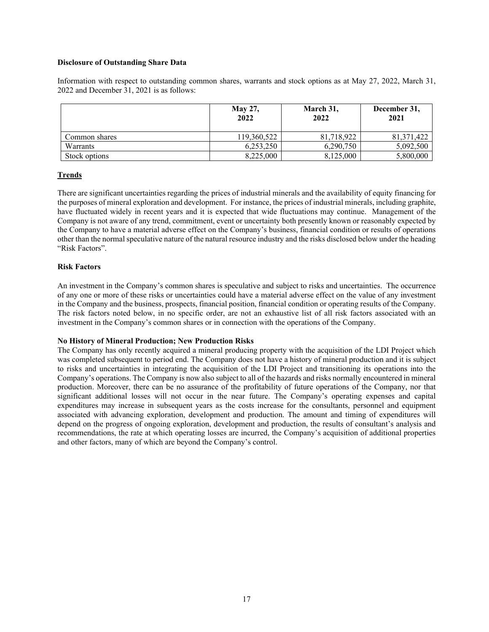# **Disclosure of Outstanding Share Data**

Information with respect to outstanding common shares, warrants and stock options as at May 27, 2022, March 31, 2022 and December 31, 2021 is as follows:

|               | <b>May 27,</b><br>2022 | March 31,<br>2022 | December 31,<br>2021 |
|---------------|------------------------|-------------------|----------------------|
| Common shares | 119,360,522            | 81,718,922        | 81, 371, 422         |
| Warrants      | 6.253.250              | 6,290,750         | 5,092,500            |
| Stock options | 8,225,000              | 8,125,000         | 5,800,000            |

# **Trends**

There are significant uncertainties regarding the prices of industrial minerals and the availability of equity financing for the purposes of mineral exploration and development. For instance, the prices of industrial minerals, including graphite, have fluctuated widely in recent years and it is expected that wide fluctuations may continue. Management of the Company is not aware of any trend, commitment, event or uncertainty both presently known or reasonably expected by the Company to have a material adverse effect on the Company's business, financial condition or results of operations other than the normal speculative nature of the natural resource industry and the risks disclosed below under the heading "Risk Factors".

# **Risk Factors**

An investment in the Company's common shares is speculative and subject to risks and uncertainties. The occurrence of any one or more of these risks or uncertainties could have a material adverse effect on the value of any investment in the Company and the business, prospects, financial position, financial condition or operating results of the Company. The risk factors noted below, in no specific order, are not an exhaustive list of all risk factors associated with an investment in the Company's common shares or in connection with the operations of the Company.

#### **No History of Mineral Production; New Production Risks**

The Company has only recently acquired a mineral producing property with the acquisition of the LDI Project which was completed subsequent to period end. The Company does not have a history of mineral production and it is subject to risks and uncertainties in integrating the acquisition of the LDI Project and transitioning its operations into the Company's operations. The Company is now also subject to all of the hazards and risks normally encountered in mineral production. Moreover, there can be no assurance of the profitability of future operations of the Company, nor that significant additional losses will not occur in the near future. The Company's operating expenses and capital expenditures may increase in subsequent years as the costs increase for the consultants, personnel and equipment associated with advancing exploration, development and production. The amount and timing of expenditures will depend on the progress of ongoing exploration, development and production, the results of consultant's analysis and recommendations, the rate at which operating losses are incurred, the Company's acquisition of additional properties and other factors, many of which are beyond the Company's control.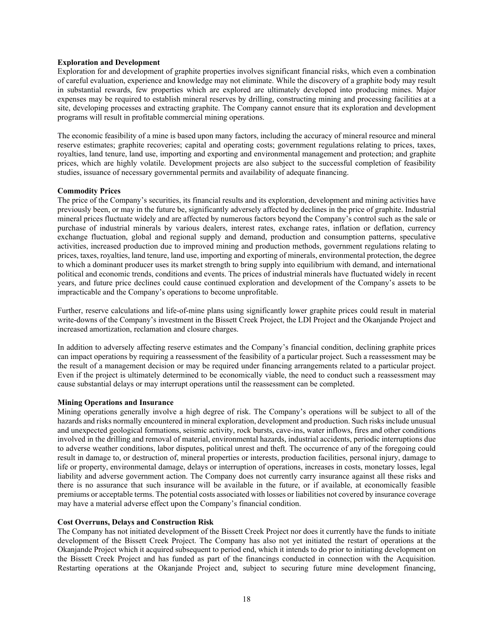### **Exploration and Development**

Exploration for and development of graphite properties involves significant financial risks, which even a combination of careful evaluation, experience and knowledge may not eliminate. While the discovery of a graphite body may result in substantial rewards, few properties which are explored are ultimately developed into producing mines. Major expenses may be required to establish mineral reserves by drilling, constructing mining and processing facilities at a site, developing processes and extracting graphite. The Company cannot ensure that its exploration and development programs will result in profitable commercial mining operations.

The economic feasibility of a mine is based upon many factors, including the accuracy of mineral resource and mineral reserve estimates; graphite recoveries; capital and operating costs; government regulations relating to prices, taxes, royalties, land tenure, land use, importing and exporting and environmental management and protection; and graphite prices, which are highly volatile. Development projects are also subject to the successful completion of feasibility studies, issuance of necessary governmental permits and availability of adequate financing.

# **Commodity Prices**

The price of the Company's securities, its financial results and its exploration, development and mining activities have previously been, or may in the future be, significantly adversely affected by declines in the price of graphite. Industrial mineral prices fluctuate widely and are affected by numerous factors beyond the Company's control such as the sale or purchase of industrial minerals by various dealers, interest rates, exchange rates, inflation or deflation, currency exchange fluctuation, global and regional supply and demand, production and consumption patterns, speculative activities, increased production due to improved mining and production methods, government regulations relating to prices, taxes, royalties, land tenure, land use, importing and exporting of minerals, environmental protection, the degree to which a dominant producer uses its market strength to bring supply into equilibrium with demand, and international political and economic trends, conditions and events. The prices of industrial minerals have fluctuated widely in recent years, and future price declines could cause continued exploration and development of the Company's assets to be impracticable and the Company's operations to become unprofitable.

Further, reserve calculations and life-of-mine plans using significantly lower graphite prices could result in material write-downs of the Company's investment in the Bissett Creek Project, the LDI Project and the Okanjande Project and increased amortization, reclamation and closure charges.

In addition to adversely affecting reserve estimates and the Company's financial condition, declining graphite prices can impact operations by requiring a reassessment of the feasibility of a particular project. Such a reassessment may be the result of a management decision or may be required under financing arrangements related to a particular project. Even if the project is ultimately determined to be economically viable, the need to conduct such a reassessment may cause substantial delays or may interrupt operations until the reassessment can be completed.

#### **Mining Operations and Insurance**

Mining operations generally involve a high degree of risk. The Company's operations will be subject to all of the hazards and risks normally encountered in mineral exploration, development and production. Such risks include unusual and unexpected geological formations, seismic activity, rock bursts, cave-ins, water inflows, fires and other conditions involved in the drilling and removal of material, environmental hazards, industrial accidents, periodic interruptions due to adverse weather conditions, labor disputes, political unrest and theft. The occurrence of any of the foregoing could result in damage to, or destruction of, mineral properties or interests, production facilities, personal injury, damage to life or property, environmental damage, delays or interruption of operations, increases in costs, monetary losses, legal liability and adverse government action. The Company does not currently carry insurance against all these risks and there is no assurance that such insurance will be available in the future, or if available, at economically feasible premiums or acceptable terms. The potential costs associated with losses or liabilities not covered by insurance coverage may have a material adverse effect upon the Company's financial condition.

#### **Cost Overruns, Delays and Construction Risk**

The Company has not initiated development of the Bissett Creek Project nor does it currently have the funds to initiate development of the Bissett Creek Project. The Company has also not yet initiated the restart of operations at the Okanjande Project which it acquired subsequent to period end, which it intends to do prior to initiating development on the Bissett Creek Project and has funded as part of the financings conducted in connection with the Acquisition. Restarting operations at the Okanjande Project and, subject to securing future mine development financing,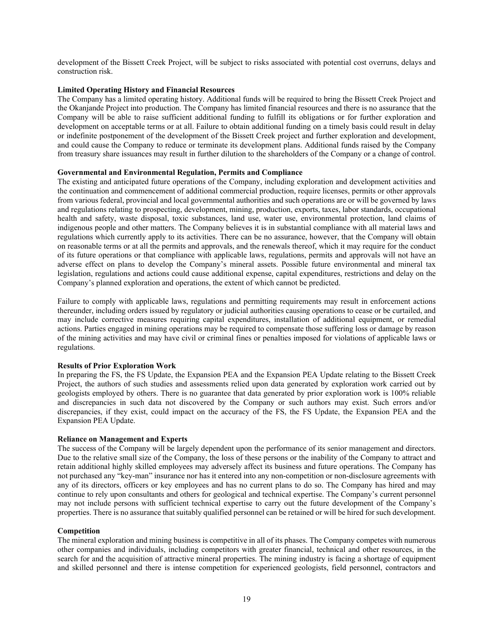development of the Bissett Creek Project, will be subject to risks associated with potential cost overruns, delays and construction risk.

# **Limited Operating History and Financial Resources**

The Company has a limited operating history. Additional funds will be required to bring the Bissett Creek Project and the Okanjande Project into production. The Company has limited financial resources and there is no assurance that the Company will be able to raise sufficient additional funding to fulfill its obligations or for further exploration and development on acceptable terms or at all. Failure to obtain additional funding on a timely basis could result in delay or indefinite postponement of the development of the Bissett Creek project and further exploration and development, and could cause the Company to reduce or terminate its development plans. Additional funds raised by the Company from treasury share issuances may result in further dilution to the shareholders of the Company or a change of control.

#### **Governmental and Environmental Regulation, Permits and Compliance**

The existing and anticipated future operations of the Company, including exploration and development activities and the continuation and commencement of additional commercial production, require licenses, permits or other approvals from various federal, provincial and local governmental authorities and such operations are or will be governed by laws and regulations relating to prospecting, development, mining, production, exports, taxes, labor standards, occupational health and safety, waste disposal, toxic substances, land use, water use, environmental protection, land claims of indigenous people and other matters. The Company believes it is in substantial compliance with all material laws and regulations which currently apply to its activities. There can be no assurance, however, that the Company will obtain on reasonable terms or at all the permits and approvals, and the renewals thereof, which it may require for the conduct of its future operations or that compliance with applicable laws, regulations, permits and approvals will not have an adverse effect on plans to develop the Company's mineral assets. Possible future environmental and mineral tax legislation, regulations and actions could cause additional expense, capital expenditures, restrictions and delay on the Company's planned exploration and operations, the extent of which cannot be predicted.

Failure to comply with applicable laws, regulations and permitting requirements may result in enforcement actions thereunder, including orders issued by regulatory or judicial authorities causing operations to cease or be curtailed, and may include corrective measures requiring capital expenditures, installation of additional equipment, or remedial actions. Parties engaged in mining operations may be required to compensate those suffering loss or damage by reason of the mining activities and may have civil or criminal fines or penalties imposed for violations of applicable laws or regulations.

#### **Results of Prior Exploration Work**

In preparing the FS, the FS Update, the Expansion PEA and the Expansion PEA Update relating to the Bissett Creek Project, the authors of such studies and assessments relied upon data generated by exploration work carried out by geologists employed by others. There is no guarantee that data generated by prior exploration work is 100% reliable and discrepancies in such data not discovered by the Company or such authors may exist. Such errors and/or discrepancies, if they exist, could impact on the accuracy of the FS, the FS Update, the Expansion PEA and the Expansion PEA Update.

#### **Reliance on Management and Experts**

The success of the Company will be largely dependent upon the performance of its senior management and directors. Due to the relative small size of the Company, the loss of these persons or the inability of the Company to attract and retain additional highly skilled employees may adversely affect its business and future operations. The Company has not purchased any "key-man" insurance nor has it entered into any non-competition or non-disclosure agreements with any of its directors, officers or key employees and has no current plans to do so. The Company has hired and may continue to rely upon consultants and others for geological and technical expertise. The Company's current personnel may not include persons with sufficient technical expertise to carry out the future development of the Company's properties. There is no assurance that suitably qualified personnel can be retained or will be hired for such development.

### **Competition**

The mineral exploration and mining business is competitive in all of its phases. The Company competes with numerous other companies and individuals, including competitors with greater financial, technical and other resources, in the search for and the acquisition of attractive mineral properties. The mining industry is facing a shortage of equipment and skilled personnel and there is intense competition for experienced geologists, field personnel, contractors and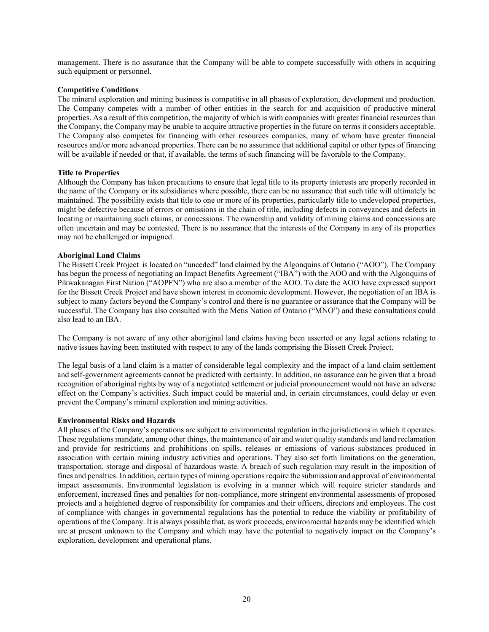management. There is no assurance that the Company will be able to compete successfully with others in acquiring such equipment or personnel.

### **Competitive Conditions**

The mineral exploration and mining business is competitive in all phases of exploration, development and production. The Company competes with a number of other entities in the search for and acquisition of productive mineral properties. As a result of this competition, the majority of which is with companies with greater financial resources than the Company, the Company may be unable to acquire attractive properties in the future on terms it considers acceptable. The Company also competes for financing with other resources companies, many of whom have greater financial resources and/or more advanced properties. There can be no assurance that additional capital or other types of financing will be available if needed or that, if available, the terms of such financing will be favorable to the Company.

# **Title to Properties**

Although the Company has taken precautions to ensure that legal title to its property interests are properly recorded in the name of the Company or its subsidiaries where possible, there can be no assurance that such title will ultimately be maintained. The possibility exists that title to one or more of its properties, particularly title to undeveloped properties, might be defective because of errors or omissions in the chain of title, including defects in conveyances and defects in locating or maintaining such claims, or concessions. The ownership and validity of mining claims and concessions are often uncertain and may be contested. There is no assurance that the interests of the Company in any of its properties may not be challenged or impugned.

#### **Aboriginal Land Claims**

The Bissett Creek Project is located on "unceded" land claimed by the Algonquins of Ontario ("AOO"). The Company has begun the process of negotiating an Impact Benefits Agreement ("IBA") with the AOO and with the Algonquins of Pikwakanagan First Nation ("AOPFN") who are also a member of the AOO. To date the AOO have expressed support for the Bissett Creek Project and have shown interest in economic development. However, the negotiation of an IBA is subject to many factors beyond the Company's control and there is no guarantee or assurance that the Company will be successful. The Company has also consulted with the Metis Nation of Ontario ("MNO") and these consultations could also lead to an IBA.

The Company is not aware of any other aboriginal land claims having been asserted or any legal actions relating to native issues having been instituted with respect to any of the lands comprising the Bissett Creek Project.

The legal basis of a land claim is a matter of considerable legal complexity and the impact of a land claim settlement and self-government agreements cannot be predicted with certainty. In addition, no assurance can be given that a broad recognition of aboriginal rights by way of a negotiated settlement or judicial pronouncement would not have an adverse effect on the Company's activities. Such impact could be material and, in certain circumstances, could delay or even prevent the Company's mineral exploration and mining activities.

#### **Environmental Risks and Hazards**

All phases of the Company's operations are subject to environmental regulation in the jurisdictions in which it operates. These regulations mandate, among other things, the maintenance of air and water quality standards and land reclamation and provide for restrictions and prohibitions on spills, releases or emissions of various substances produced in association with certain mining industry activities and operations. They also set forth limitations on the generation, transportation, storage and disposal of hazardous waste. A breach of such regulation may result in the imposition of fines and penalties. In addition, certain types of mining operations require the submission and approval of environmental impact assessments. Environmental legislation is evolving in a manner which will require stricter standards and enforcement, increased fines and penalties for non-compliance, more stringent environmental assessments of proposed projects and a heightened degree of responsibility for companies and their officers, directors and employees. The cost of compliance with changes in governmental regulations has the potential to reduce the viability or profitability of operations of the Company. It is always possible that, as work proceeds, environmental hazards may be identified which are at present unknown to the Company and which may have the potential to negatively impact on the Company's exploration, development and operational plans.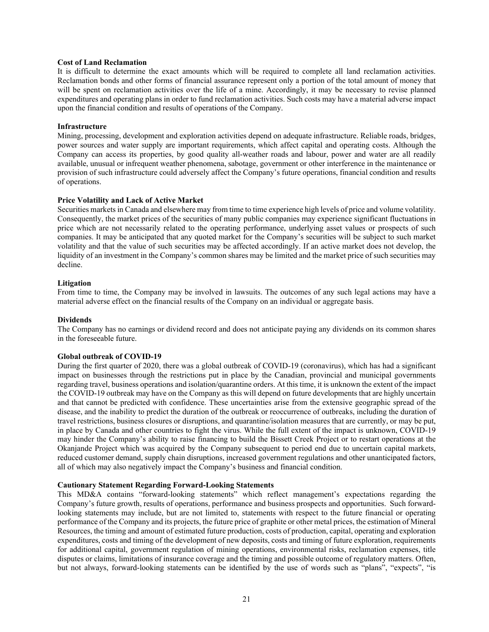# **Cost of Land Reclamation**

It is difficult to determine the exact amounts which will be required to complete all land reclamation activities. Reclamation bonds and other forms of financial assurance represent only a portion of the total amount of money that will be spent on reclamation activities over the life of a mine. Accordingly, it may be necessary to revise planned expenditures and operating plans in order to fund reclamation activities. Such costs may have a material adverse impact upon the financial condition and results of operations of the Company.

#### **Infrastructure**

Mining, processing, development and exploration activities depend on adequate infrastructure. Reliable roads, bridges, power sources and water supply are important requirements, which affect capital and operating costs. Although the Company can access its properties, by good quality all-weather roads and labour, power and water are all readily available, unusual or infrequent weather phenomena, sabotage, government or other interference in the maintenance or provision of such infrastructure could adversely affect the Company's future operations, financial condition and results of operations.

#### **Price Volatility and Lack of Active Market**

Securities markets in Canada and elsewhere may from time to time experience high levels of price and volume volatility. Consequently, the market prices of the securities of many public companies may experience significant fluctuations in price which are not necessarily related to the operating performance, underlying asset values or prospects of such companies. It may be anticipated that any quoted market for the Company's securities will be subject to such market volatility and that the value of such securities may be affected accordingly. If an active market does not develop, the liquidity of an investment in the Company's common shares may be limited and the market price of such securities may decline.

#### **Litigation**

From time to time, the Company may be involved in lawsuits. The outcomes of any such legal actions may have a material adverse effect on the financial results of the Company on an individual or aggregate basis.

#### **Dividends**

The Company has no earnings or dividend record and does not anticipate paying any dividends on its common shares in the foreseeable future.

#### **Global outbreak of COVID-19**

During the first quarter of 2020, there was a global outbreak of COVID-19 (coronavirus), which has had a significant impact on businesses through the restrictions put in place by the Canadian, provincial and municipal governments regarding travel, business operations and isolation/quarantine orders. At this time, it is unknown the extent of the impact the COVID-19 outbreak may have on the Company as this will depend on future developments that are highly uncertain and that cannot be predicted with confidence. These uncertainties arise from the extensive geographic spread of the disease, and the inability to predict the duration of the outbreak or reoccurrence of outbreaks, including the duration of travel restrictions, business closures or disruptions, and quarantine/isolation measures that are currently, or may be put, in place by Canada and other countries to fight the virus. While the full extent of the impact is unknown, COVID-19 may hinder the Company's ability to raise financing to build the Bissett Creek Project or to restart operations at the Okanjande Project which was acquired by the Company subsequent to period end due to uncertain capital markets, reduced customer demand, supply chain disruptions, increased government regulations and other unanticipated factors, all of which may also negatively impact the Company's business and financial condition.

# **Cautionary Statement Regarding Forward-Looking Statements**

This MD&A contains "forward-looking statements" which reflect management's expectations regarding the Company's future growth, results of operations, performance and business prospects and opportunities. Such forwardlooking statements may include, but are not limited to, statements with respect to the future financial or operating performance of the Company and its projects, the future price of graphite or other metal prices, the estimation of Mineral Resources, the timing and amount of estimated future production, costs of production, capital, operating and exploration expenditures, costs and timing of the development of new deposits, costs and timing of future exploration, requirements for additional capital, government regulation of mining operations, environmental risks, reclamation expenses, title disputes or claims, limitations of insurance coverage and the timing and possible outcome of regulatory matters. Often, but not always, forward-looking statements can be identified by the use of words such as "plans", "expects", "is